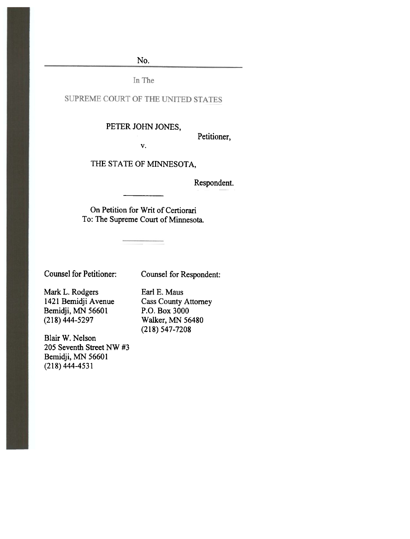No.

In The

### SUPREME COURT OF THE UNITED STATES

# PETER JOHN JONES,

Petitioner,

v.

# THE STATE OF MINNESOTA,

Re Respondent.

On Petition for Writ of Certiorari To: The Supreme Court of Minnesota.

Counsel for Petitioner:

Counsel for Respondent:

Mark L. Rodgers 1421 Bemidji Avenue Bemidji, MN 56601 (218) 444-5297

Blair W. Nelson 205 Seventh Street NW #3 Bemidji, MN 56601 (218) 444-4531

Earl E. Maus Cass County Attorney P.O. Box 3000 Walker, MN 56480 (218) 547-7208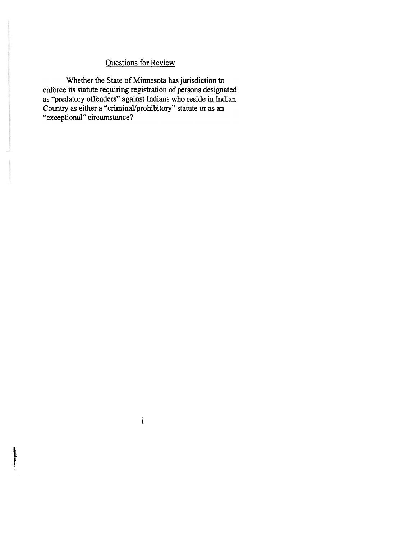# Questions for Review

Whether the State of Minnesota has jurisdiction to enforce its statute requiring registration of persons designated as "predatory offenders" against Indians who reside in Indian Country as either a "criminal/prohibitory" statute or as an "exceptional" circumstance?

1

for the second control of the second control of the second control of the second control of the second control of the second control of the second control of the second control of the second control of the second control o f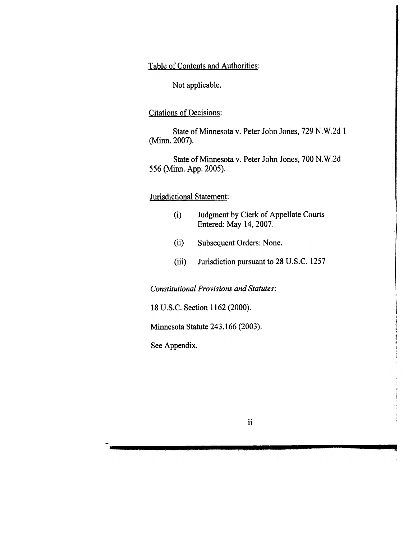Table of Contents and Authorities:

Not applicable.

Citations of Decisions:

State of Minnesota v. Peter John Jones, 729 N.W.2d 1 (Minn. 2007).

State of Minnesota v. Peter John Jones, 700 N.W.2d 556 (Minn. App. 2005).

### Jurisdictional Statement:

- (i) Judgment by Clerk of Appellate Courts Entered: May 14,2007.
- Subsequent Orders: None. (ii)
- Jurisdiction pursuant to 28 U.S.C. 1257 (iii)

Constitutional Provisions and Statutes:

18 V.S.C. Section 1162 (2000).

Minnesota Statute 243.166 (2003).

See Appendix.

ii

- ~ \

~I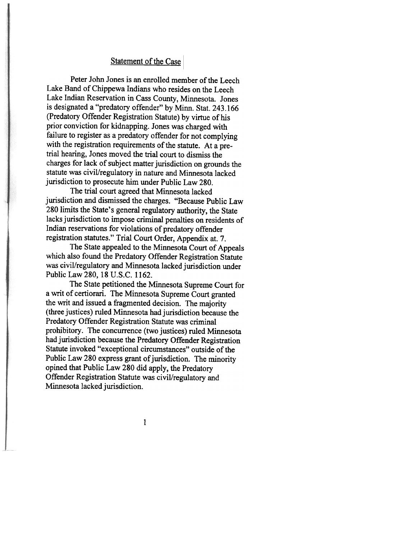#### Statement of the Case

Peter John Jones is an enrolled member of the Leech Lake Band of Chippewa Indians who resides on the Leech Lake Indian Reservation in Cass County, Minnesota. Jones is designated a"predatory offender" by Minn. Stat. 243.166 (Predatory Offender Registration Statute) by virtue of his prior conviction for kidnapping. Jones was charged with failure to register as a predatory offender for not complying with the registration requirements of the statute. At a pretrial hearing, Jones moved the trial court to dismiss the charges for lack of subject matter jurisdiction on grounds the statute was civil/regulatory in nature and Minnesota lacked jurisdiction to prosecute him under Public Law 280.

The trial court agreed that Minnesota lacked jurisdiction and dismissed the charges. "Because Public Law 280 limits the State's general regulatory authority, the State lacks jurisdiction to impose criminal penalties on residents of Indian reservations for violations of predatory offender registration statutes." Trial Court Order, Appendix at. 7.

The State appealed to the Minnesota Court of Appeals which also found the Predatory Offender Registration Statute was civil/regulatory and Minnesota lacked jurisdiction under Public Law 280, 18 V.S.C. 1162.

The State petitioned the Minnesota Supreme Court for a writ of certiorari. The Minnesota Supreme Court granted the writ and issued a fragmented decision. The majority (three justices) ruled Minnesota had jurisdiction because the Predatory Offender Registration Statute was criminal prohibitory. The concurrence (two justices) ruled Minnesota had jurisdiction because the Predatory Offender Registration Statute invoked "exceptional circumstances" outside of the Public Law 280 express grant of jurisdiction. The minority opined that Public Law 280 did apply, the Predatory Offender Registration Statute was civil/regulatory and Minnesota lacked jurisdiction.

1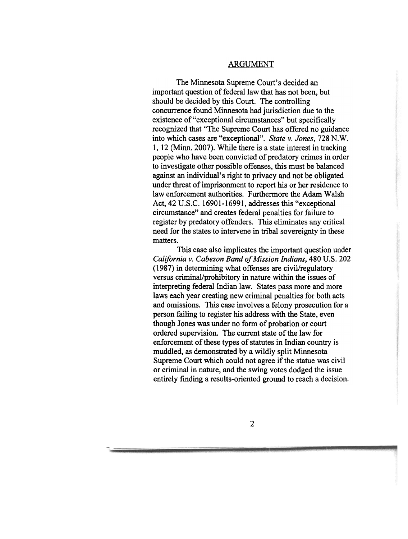### ARGUMENT

The Minnesota Supreme Court's decided an important question of federal law that has not been, but should be decided by this Court. The controlling concurrence found Minnesota had jurisdiction due to the existence of "exceptional circumstances" but specifically recognized that "The Supreme Court has offered no guidance into which cases are "exceptional". State v. Jones, 728 N.W. 1, 12 (Minn. 2007). While there is a state interest in tracking people who have been convicted of predatory crimes in order to investigate other possible offenses, this must be balanced against an individual's right to privacy and not be obligated under threat of imprisonment to report his or her residence to law enforcement authorities. Furthermore the Adam Walsh Act, 42 V.S.C. 16901-16991, addresses this "exceptional circumstance" and creates federal penalties for failure to register by predatory offenders. This eliminates any critical need for the states to intervene in tribal sovereignty in these matters.

This case also implicates the important question under California v. Cabezon Band of Mission Indians, 480 U.S. 202 (1987) in determining what offenses are civil/regulatory versus criminal/prohibitory in nature within the issues of interpreting federal Indian law. States pass more and more laws each year creating new criminal penalties for both acts and omissions. This case involves a felony prosecution for a person failing to register his address with the State, even though Jones was under no form of probation or court ordered supervision. The current state of the law for enforcement of these types of statutes in Indian country is muddled, as demonstrated by a wildly split Minnesota Supreme Court which could not agree if the statue was civil or criminal in nature, and the swing votes dodged the issue entirely finding a results-oriented ground to reach a decision.

2